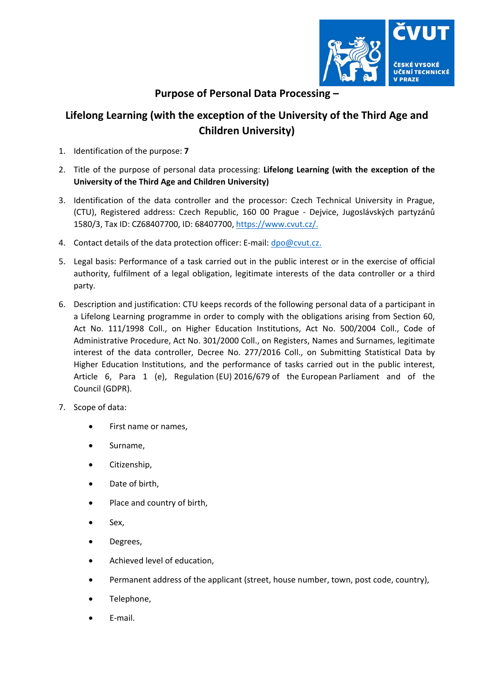

## **Purpose of Personal Data Processing –**

## **Lifelong Learning (with the exception of the University of the Third Age and Children University)**

- 1. Identification of the purpose: **7**
- 2. Title of the purpose of personal data processing: **Lifelong Learning (with the exception of the University of the Third Age and Children University)**
- 3. Identification of the data controller and the processor: Czech Technical University in Prague, (CTU), Registered address: Czech Republic, 160 00 Prague ‐ Dejvice, Jugoslávských partyzánů 1580/3, Tax ID: CZ68407700, ID: 68407700, https://www.cvut.cz/.
- 4. Contact details of the data protection officer: E-mail: dpo@cvut.cz.
- 5. Legal basis: Performance of a task carried out in the public interest or in the exercise of official authority, fulfilment of a legal obligation, legitimate interests of the data controller or a third party.
- 6. Description and justification: CTU keeps records of the following personal data of a participant in a Lifelong Learning programme in order to comply with the obligations arising from Section 60, Act No. 111/1998 Coll., on Higher Education Institutions, Act No. 500/2004 Coll., Code of Administrative Procedure, Act No. 301/2000 Coll., on Registers, Names and Surnames, legitimate interest of the data controller, Decree No. 277/2016 Coll., on Submitting Statistical Data by Higher Education Institutions, and the performance of tasks carried out in the public interest, Article 6, Para 1 (e), Regulation (EU) 2016/679 of the European Parliament and of the Council (GDPR).
- 7. Scope of data:
	- First name or names,
	- Surname,
	- Citizenship,
	- Date of birth,
	- Place and country of birth,
	- Sex,
	- Degrees,
	- Achieved level of education,
	- Permanent address of the applicant (street, house number, town, post code, country),
	- Telephone,
	- E‐mail.